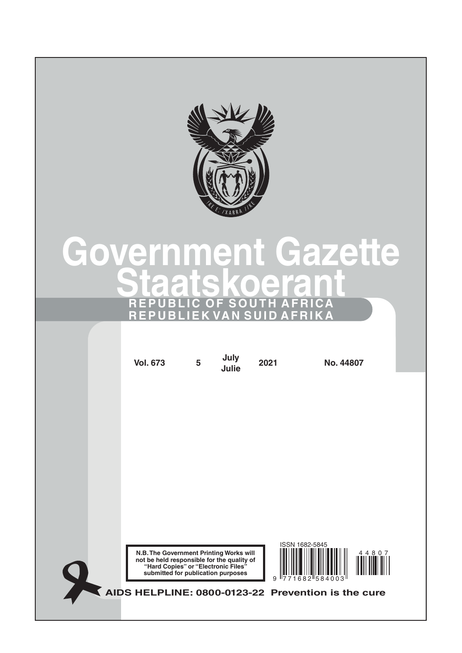

# **Government Gazette Staatskoerant REPUBLIC OF SOUTH AFRICA REPUBLIEK VAN SUID AFRIKA**

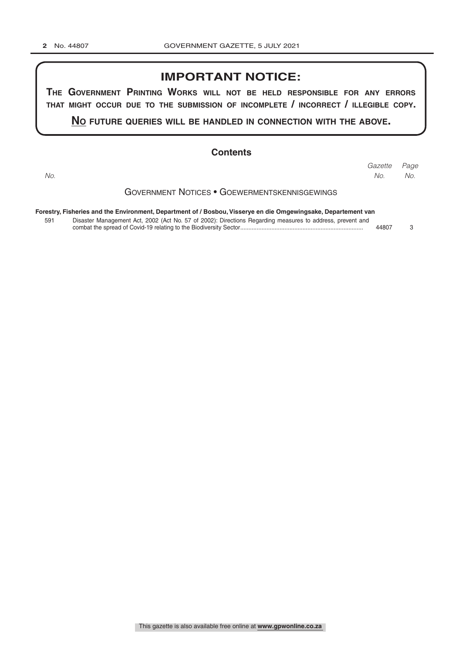## **IMPORTANT NOTICE:**

**The GovernmenT PrinTinG Works Will noT be held resPonsible for any errors ThaT miGhT occur due To The submission of incomPleTe / incorrecT / illeGible coPy.**

**no fuTure queries Will be handled in connecTion WiTh The above.**

## **Contents**

Government [Notices • Goewermentskennisgewings](#page-2-0) **[Forestry, Fisheries and the Environment, Department of / Bosbou, Visserye en die Omgewingsake, Departement van](#page-2-0)** 591 [Disaster Management Act, 2002 \(Act No. 57 of 2002\): Directions Regarding measures to address, prevent and](#page-2-0)  *Page Gazette No. No. No.*

| Disaster Management Act, 2002 (Act No. 57 or 2002): Directions Regarding measures to address, prevent and |       |  |
|-----------------------------------------------------------------------------------------------------------|-------|--|
| combat the spread of Covid-19 relating to the Biodiversity Sector                                         | 44807 |  |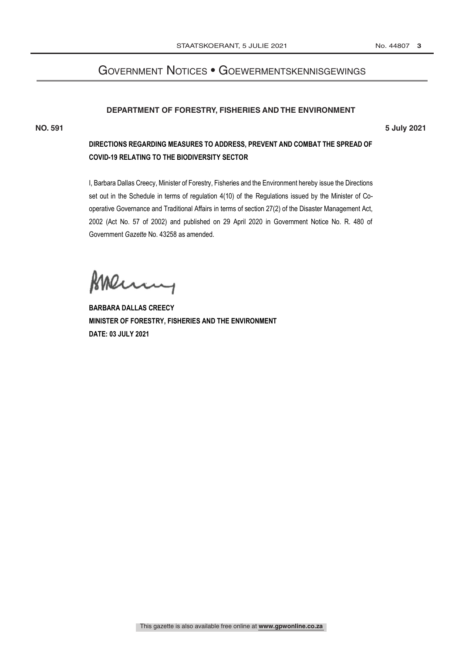## <span id="page-2-0"></span>Government Notices • Goewermentskennisgewings **GOVERNMENT NOTICE**

## **DEPARTMENT OF FORESTRY, FISHERIES AND THE ENVIRONMENT**

**NO. 591 5 July 2021**

**DIRECTIONS REGARDING MEASURES TO ADDRESS, PREVENT AND COMBAT THE SPREAD OF COVID-19 RELATING TO THE BIODIVERSITY SECTOR**

I, Barbara Dallas Creecy, Minister of Forestry, Fisheries and the Environment hereby issue the Directions set out in the Schedule in terms of regulation 4(10) of the Regulations issued by the Minister of Cooperative Governance and Traditional Affairs in terms of section 27(2) of the Disaster Management Act, 2002 (Act No. 57 of 2002) and published on 29 April 2020 in Government Notice No. R. 480 of Government *Gazette* No. 43258 as amended.

Kneming

**BARBARA DALLAS CREECY MINISTER OF FORESTRY, FISHERIES AND THE ENVIRONMENT DATE: 03 JULY 2021**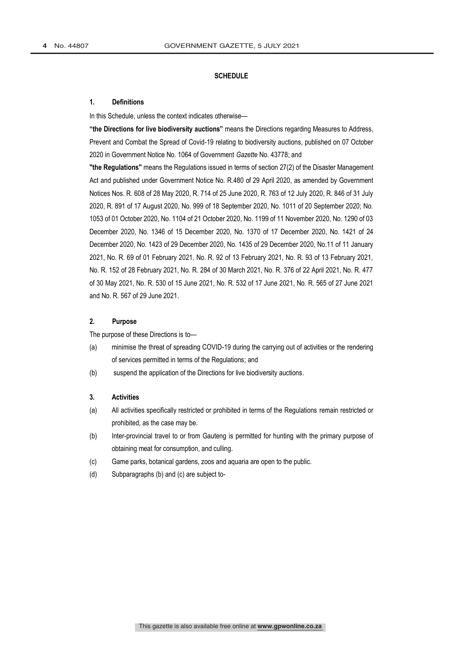#### **SCHEDULE**

#### **1. Definitions**

In this Schedule, unless the context indicates otherwise—

**"the Directions for live biodiversity auctions"** means the Directions regarding Measures to Address, Prevent and Combat the Spread of Covid-19 relating to biodiversity auctions, published on 07 October 2020 in Government Notice No. 1064 of Government *Gazette* No. 43778; and

**"the Regulations"** means the Regulations issued in terms of section 27(2) of the Disaster Management Act and published under Government Notice No. R.480 of 29 April 2020, as amended by Government Notices Nos. R. 608 of 28 May 2020, R. 714 of 25 June 2020, R. 763 of 12 July 2020, R. 846 of 31 July 2020, R. 891 of 17 August 2020, No. 999 of 18 September 2020, No. 1011 of 20 September 2020; No. 1053 of 01 October 2020, No. 1104 of 21 October 2020, No. 1199 of 11 November 2020, No. 1290 of 03 December 2020, No. 1346 of 15 December 2020, No. 1370 of 17 December 2020, No. 1421 of 24 December 2020, No. 1423 of 29 December 2020, No. 1435 of 29 December 2020, No.11 of 11 January 2021, No. R. 69 of 01 February 2021, No. R. 92 of 13 February 2021, No. R. 93 of 13 February 2021, No. R. 152 of 28 February 2021, No. R. 284 of 30 March 2021, No. R. 376 of 22 April 2021, No. R. 477 of 30 May 2021, No. R. 530 of 15 June 2021, No. R. 532 of 17 June 2021, No. R. 565 of 27 June 2021 and No. R. 567 of 29 June 2021.

#### **2. Purpose**

The purpose of these Directions is to—

- (a) minimise the threat of spreading COVID-19 during the carrying out of activities or the rendering of services permitted in terms of the Regulations; and
- (b) suspend the application of the Directions for live biodiversity auctions.

#### **3. Activities**

- (a) All activities specifically restricted or prohibited in terms of the Regulations remain restricted or prohibited, as the case may be.
- (b) Inter-provincial travel to or from Gauteng is permitted for hunting with the primary purpose of obtaining meat for consumption, and culling.
- (c) Game parks, botanical gardens, zoos and aquaria are open to the public.
- (d) Subparagraphs (b) and (c) are subject to-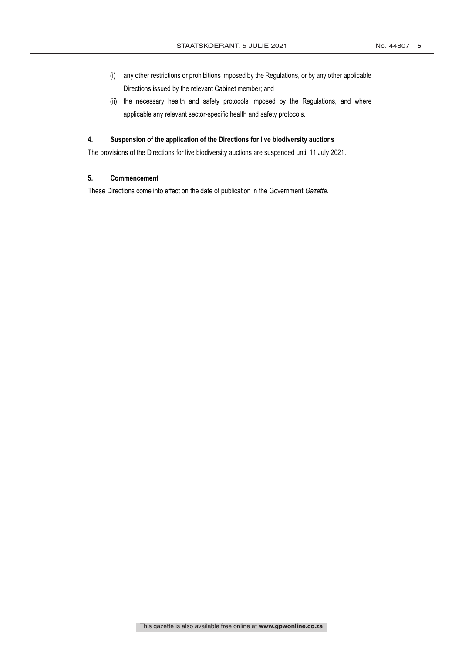- (i) any other restrictions or prohibitions imposed by the Regulations, or by any other applicable Directions issued by the relevant Cabinet member; and
- (ii) the necessary health and safety protocols imposed by the Regulations, and where applicable any relevant sector-specific health and safety protocols.

### **4. Suspension of the application of the Directions for live biodiversity auctions**

The provisions of the Directions for live biodiversity auctions are suspended until 11 July 2021.

#### **5. Commencement**

These Directions come into effect on the date of publication in the Government *Gazette*.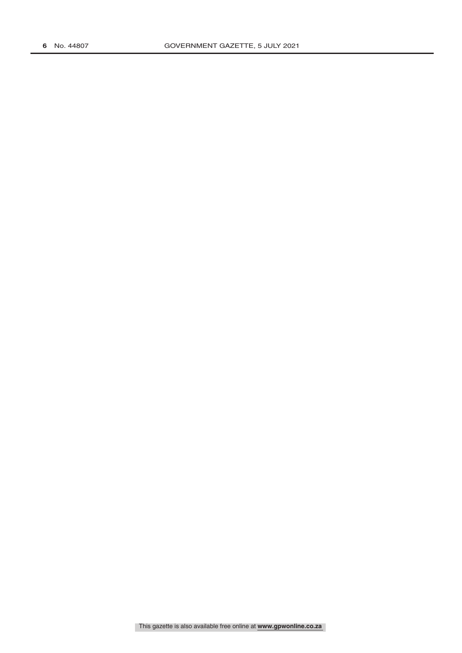This gazette is also available free online at **www.gpwonline.co.za**